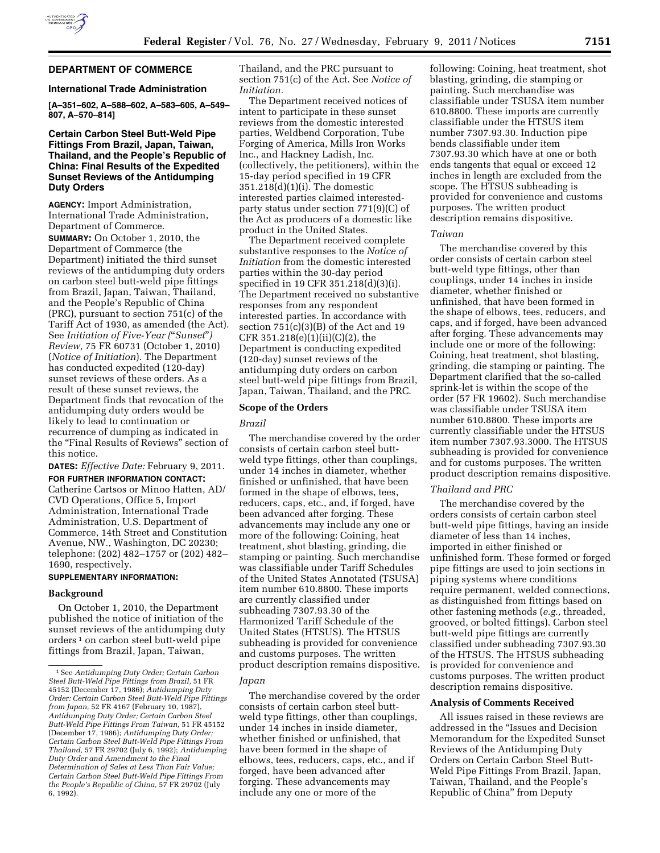

# **DEPARTMENT OF COMMERCE**

## **International Trade Administration**

**[A–351–602, A–588–602, A–583–605, A–549– 807, A–570–814]** 

# **Certain Carbon Steel Butt-Weld Pipe Fittings From Brazil, Japan, Taiwan, Thailand, and the People's Republic of China: Final Results of the Expedited Sunset Reviews of the Antidumping Duty Orders**

**AGENCY:** Import Administration, International Trade Administration, Department of Commerce.

**SUMMARY:** On October 1, 2010, the Department of Commerce (the Department) initiated the third sunset reviews of the antidumping duty orders on carbon steel butt-weld pipe fittings from Brazil, Japan, Taiwan, Thailand, and the People's Republic of China (PRC), pursuant to section 751(c) of the Tariff Act of 1930, as amended (the Act). See *Initiation of Five-Year (*''*Sunset*''*) Review,* 75 FR 60731 (October 1, 2010) (*Notice of Initiation*). The Department has conducted expedited (120-day) sunset reviews of these orders. As a result of these sunset reviews, the Department finds that revocation of the antidumping duty orders would be likely to lead to continuation or recurrence of dumping as indicated in the "Final Results of Reviews" section of this notice.

**DATES:** *Effective Date:* February 9, 2011.

**FOR FURTHER INFORMATION CONTACT:**  Catherine Cartsos or Minoo Hatten, AD/ CVD Operations, Office 5, Import Administration, International Trade Administration, U.S. Department of Commerce, 14th Street and Constitution Avenue, NW., Washington, DC 20230; telephone: (202) 482–1757 or (202) 482– 1690, respectively.

## **SUPPLEMENTARY INFORMATION:**

#### **Background**

On October 1, 2010, the Department published the notice of initiation of the sunset reviews of the antidumping duty orders 1 on carbon steel butt-weld pipe fittings from Brazil, Japan, Taiwan,

Thailand, and the PRC pursuant to section 751(c) of the Act. See *Notice of Initiation.* 

The Department received notices of intent to participate in these sunset reviews from the domestic interested parties, Weldbend Corporation, Tube Forging of America, Mills Iron Works Inc., and Hackney Ladish, Inc. (collectively, the petitioners), within the 15-day period specified in 19 CFR 351.218(d)(1)(i). The domestic interested parties claimed interestedparty status under section 771(9)(C) of the Act as producers of a domestic like product in the United States.

The Department received complete substantive responses to the *Notice of Initiation* from the domestic interested parties within the 30-day period specified in 19 CFR 351.218(d)(3)(i). The Department received no substantive responses from any respondent interested parties. In accordance with section 751(c)(3)(B) of the Act and 19 CFR  $351.218(e)(1)(ii)(C)(2)$ , the Department is conducting expedited (120-day) sunset reviews of the antidumping duty orders on carbon steel butt-weld pipe fittings from Brazil, Japan, Taiwan, Thailand, and the PRC.

## **Scope of the Orders**

## *Brazil*

The merchandise covered by the order consists of certain carbon steel buttweld type fittings, other than couplings, under 14 inches in diameter, whether finished or unfinished, that have been formed in the shape of elbows, tees, reducers, caps, etc., and, if forged, have been advanced after forging. These advancements may include any one or more of the following: Coining, heat treatment, shot blasting, grinding, die stamping or painting. Such merchandise was classifiable under Tariff Schedules of the United States Annotated (TSUSA) item number 610.8800. These imports are currently classified under subheading 7307.93.30 of the Harmonized Tariff Schedule of the United States (HTSUS). The HTSUS subheading is provided for convenience and customs purposes. The written product description remains dispositive.

#### *Japan*

The merchandise covered by the order consists of certain carbon steel buttweld type fittings, other than couplings, under 14 inches in inside diameter, whether finished or unfinished, that have been formed in the shape of elbows, tees, reducers, caps, etc., and if forged, have been advanced after forging. These advancements may include any one or more of the

following: Coining, heat treatment, shot blasting, grinding, die stamping or painting. Such merchandise was classifiable under TSUSA item number 610.8800. These imports are currently classifiable under the HTSUS item number 7307.93.30. Induction pipe bends classifiable under item 7307.93.30 which have at one or both ends tangents that equal or exceed 12 inches in length are excluded from the scope. The HTSUS subheading is provided for convenience and customs purposes. The written product description remains dispositive.

#### *Taiwan*

The merchandise covered by this order consists of certain carbon steel butt-weld type fittings, other than couplings, under 14 inches in inside diameter, whether finished or unfinished, that have been formed in the shape of elbows, tees, reducers, and caps, and if forged, have been advanced after forging. These advancements may include one or more of the following: Coining, heat treatment, shot blasting, grinding, die stamping or painting. The Department clarified that the so-called sprink-let is within the scope of the order (57 FR 19602). Such merchandise was classifiable under TSUSA item number 610.8800. These imports are currently classifiable under the HTSUS item number 7307.93.3000. The HTSUS subheading is provided for convenience and for customs purposes. The written product description remains dispositive.

#### *Thailand and PRC*

The merchandise covered by the orders consists of certain carbon steel butt-weld pipe fittings, having an inside diameter of less than 14 inches, imported in either finished or unfinished form. These formed or forged pipe fittings are used to join sections in piping systems where conditions require permanent, welded connections, as distinguished from fittings based on other fastening methods (*e.g.,* threaded, grooved, or bolted fittings). Carbon steel butt-weld pipe fittings are currently classified under subheading 7307.93.30 of the HTSUS. The HTSUS subheading is provided for convenience and customs purposes. The written product description remains dispositive.

## **Analysis of Comments Received**

All issues raised in these reviews are addressed in the ''Issues and Decision Memorandum for the Expedited Sunset Reviews of the Antidumping Duty Orders on Certain Carbon Steel Butt-Weld Pipe Fittings From Brazil, Japan, Taiwan, Thailand, and the People's Republic of China'' from Deputy

<sup>1</sup>See *Antidumping Duty Order; Certain Carbon Steel Butt-Weld Pipe Fittings from Brazil,* 51 FR 45152 (December 17, 1986); *Antidumping Duty Order: Certain Carbon Steel Butt-Weld Pipe Fittings from Japan,* 52 FR 4167 (February 10, 1987), *Antidumping Duty Order; Certain Carbon Steel Butt-Weld Pipe Fittings From Taiwan,* 51 FR 45152 (December 17, 1986); *Antidumping Duty Order; Certain Carbon Steel Butt-Weld Pipe Fittings From Thailand,* 57 FR 29702 (July 6, 1992); *Antidumping Duty Order and Amendment to the Final Determination of Sales at Less Than Fair Value; Certain Carbon Steel Butt-Weld Pipe Fittings From the People's Republic of China,* 57 FR 29702 (July 6, 1992).